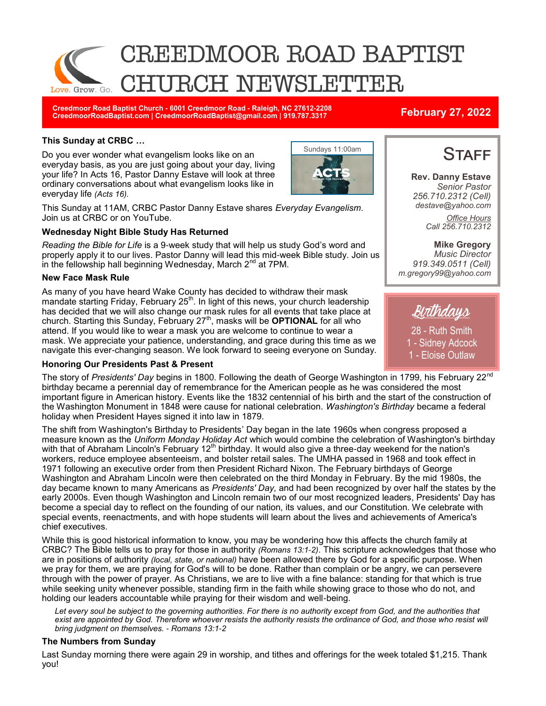

**Creedmoor Road Baptist Church - 6001 Creedmoor Road - Raleigh, NC 27612-2208 CreedmoorRoadBaptist.com | CreedmoorRoadBaptist@gmail.com | 919.787.3317 February 27, 2022**

### **This Sunday at CRBC …**

Do you ever wonder what evangelism looks like on an everyday basis, as you are just going about your day, living your life? In Acts 16, Pastor Danny Estave will look at three ordinary conversations about what evangelism looks like in everyday life *(Acts 16).*



This Sunday at 11AM, CRBC Pastor Danny Estave shares *Everyday Evangelism*. Join us at CRBC or on YouTube.

### **Wednesday Night Bible Study Has Returned**

*Reading the Bible for Life* is a 9-week study that will help us study God's word and properly apply it to our lives. Pastor Danny will lead this mid-week Bible study. Join us in the fellowship hall beginning Wednesday, March  $2<sup>nd</sup>$  at 7PM.

### **New Face Mask Rule**

As many of you have heard Wake County has decided to withdraw their mask mandate starting Friday, February 25<sup>th</sup>. In light of this news, your church leadership has decided that we will also change our mask rules for all events that take place at church. Starting this Sunday, February 27<sup>th</sup>, masks will be **OPTIONAL** for all who attend. If you would like to wear a mask you are welcome to continue to wear a mask. We appreciate your patience, understanding, and grace during this time as we navigate this ever-changing season. We look forward to seeing everyone on Sunday.

### **Honoring Our Presidents Past & Present**

The story of *Presidents' Day* begins in 1800. Following the death of George Washington in 1799, his February 22nd birthday became a perennial day of remembrance for the American people as he was considered the most important figure in American history. Events like the 1832 centennial of his birth and the start of the construction of the Washington Monument in 1848 were cause for national celebration. *Washington's Birthday* became a federal holiday when President Hayes signed it into law in 1879.

The shift from Washington's Birthday to Presidents' Day began in the late 1960s when congress proposed a measure known as the *Uniform Monday Holiday Act* which would combine the celebration of Washington's birthday with that of Abraham Lincoln's February  $12<sup>th</sup>$  birthday. It would also give a three-day weekend for the nation's workers, reduce employee absenteeism, and bolster retail sales. The UMHA passed in 1968 and took effect in 1971 following an executive order from then President Richard Nixon. The February birthdays of George Washington and Abraham Lincoln were then celebrated on the third Monday in February. By the mid 1980s, the day became known to many Americans as *Presidents' Day,* and had been recognized by over half the states by the early 2000s. Even though Washington and Lincoln remain two of our most recognized leaders, Presidents' Day has become a special day to reflect on the founding of our nation, its values, and our Constitution. We celebrate with special events, reenactments, and with hope students will learn about the lives and achievements of America's chief executives.

While this is good historical information to know, you may be wondering how this affects the church family at CRBC? The Bible tells us to pray for those in authority *(Romans 13:1-2)*. This scripture acknowledges that those who are in positions of authority *(local, state, or national)* have been allowed there by God for a specific purpose. When we pray for them, we are praying for God's will to be done. Rather than complain or be angry, we can persevere through with the power of prayer. As Christians, we are to live with a fine balance: standing for that which is true while seeking unity whenever possible, standing firm in the faith while showing grace to those who do not, and holding our leaders accountable while praying for their wisdom and well-being.

*Let every soul be subject to the governing authorities. For there is no authority except from God, and the authorities that exist are appointed by God. Therefore whoever resists the authority resists the ordinance of God, and those who resist will bring judgment on themselves. - Romans 13:1-2* 

### **The Numbers from Sunday**

Last Sunday morning there were again 29 in worship, and tithes and offerings for the week totaled \$1,215. Thank you!

# **STAFF**

**Rev. Danny Estave** *Senior Pastor 256.710.2312 (Cell) destave@yahoo.com Office Hours Call 256.710.2312* 

**Mike Gregory** *Music Director 919.349.0511 (Cell) m.gregory99@yahoo.com* 



28 - Ruth Smith 1 - Sidney Adcock 1 - Eloise Outlaw